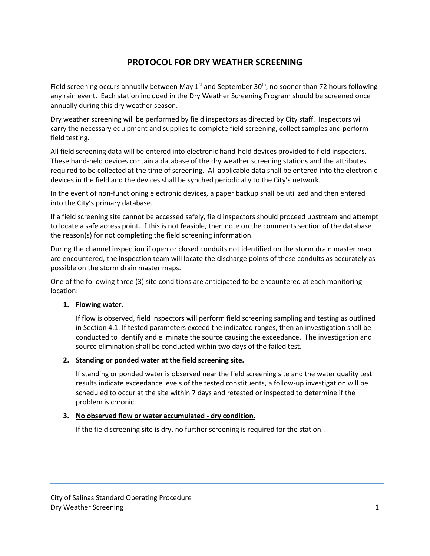## **PROTOCOL FOR DRY WEATHER SCREENING**

Field screening occurs annually between May  $1<sup>st</sup>$  and September 30<sup>th</sup>, no sooner than 72 hours following any rain event. Each station included in the Dry Weather Screening Program should be screened once annually during this dry weather season.

Dry weather screening will be performed by field inspectors as directed by City staff. Inspectors will carry the necessary equipment and supplies to complete field screening, collect samples and perform field testing.

All field screening data will be entered into electronic hand-held devices provided to field inspectors. These hand-held devices contain a database of the dry weather screening stations and the attributes required to be collected at the time of screening. All applicable data shall be entered into the electronic devices in the field and the devices shall be synched periodically to the City's network.

In the event of non-functioning electronic devices, a paper backup shall be utilized and then entered into the City's primary database.

If a field screening site cannot be accessed safely, field inspectors should proceed upstream and attempt to locate a safe access point. If this is not feasible, then note on the comments section of the database the reason(s) for not completing the field screening information.

During the channel inspection if open or closed conduits not identified on the storm drain master map are encountered, the inspection team will locate the discharge points of these conduits as accurately as possible on the storm drain master maps.

One of the following three (3) site conditions are anticipated to be encountered at each monitoring location:

#### **1. Flowing water.**

If flow is observed, field inspectors will perform field screening sampling and testing as outlined in Section 4.1. If tested parameters exceed the indicated ranges, then an investigation shall be conducted to identify and eliminate the source causing the exceedance. The investigation and source elimination shall be conducted within two days of the failed test.

#### **2. Standing or ponded water at the field screening site.**

If standing or ponded water is observed near the field screening site and the water quality test results indicate exceedance levels of the tested constituents, a follow-up investigation will be scheduled to occur at the site within 7 days and retested or inspected to determine if the problem is chronic.

#### **3. No observed flow or water accumulated - dry condition.**

If the field screening site is dry, no further screening is required for the station..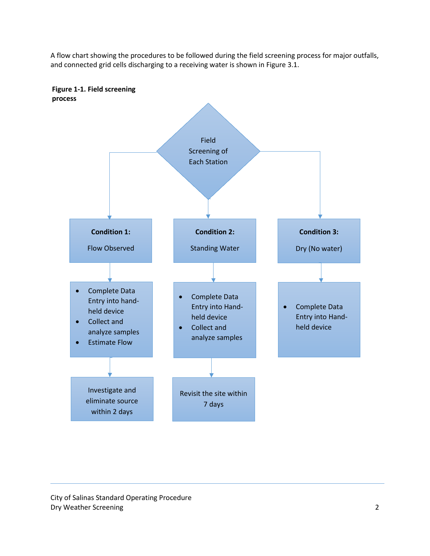A flow chart showing the procedures to be followed during the field screening process for major outfalls, and connected grid cells discharging to a receiving water is shown in Figure 3.1.



**Figure 1-1. Field screening process**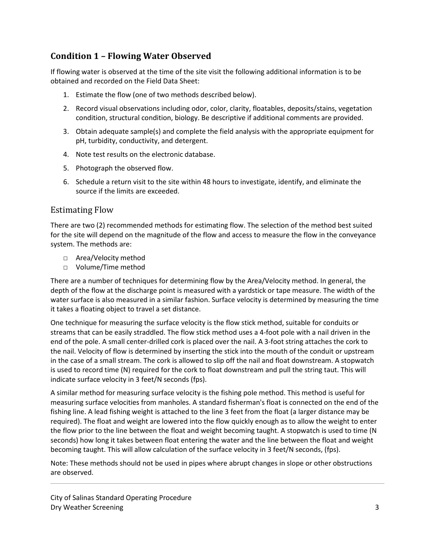## **Condition 1 – Flowing Water Observed**

If flowing water is observed at the time of the site visit the following additional information is to be obtained and recorded on the Field Data Sheet:

- 1. Estimate the flow (one of two methods described below).
- 2. Record visual observations including odor, color, clarity, floatables, deposits/stains, vegetation condition, structural condition, biology. Be descriptive if additional comments are provided.
- 3. Obtain adequate sample(s) and complete the field analysis with the appropriate equipment for pH, turbidity, conductivity, and detergent.
- 4. Note test results on the electronic database.
- 5. Photograph the observed flow.
- 6. Schedule a return visit to the site within 48 hours to investigate, identify, and eliminate the source if the limits are exceeded.

#### Estimating Flow

There are two (2) recommended methods for estimating flow. The selection of the method best suited for the site will depend on the magnitude of the flow and access to measure the flow in the conveyance system. The methods are:

- □ Area/Velocity method
- □ Volume/Time method

There are a number of techniques for determining flow by the Area/Velocity method. In general, the depth of the flow at the discharge point is measured with a yardstick or tape measure. The width of the water surface is also measured in a similar fashion. Surface velocity is determined by measuring the time it takes a floating object to travel a set distance.

One technique for measuring the surface velocity is the flow stick method, suitable for conduits or streams that can be easily straddled. The flow stick method uses a 4-foot pole with a nail driven in the end of the pole. A small center-drilled cork is placed over the nail. A 3-foot string attaches the cork to the nail. Velocity of flow is determined by inserting the stick into the mouth of the conduit or upstream in the case of a small stream. The cork is allowed to slip off the nail and float downstream. A stopwatch is used to record time (N) required for the cork to float downstream and pull the string taut. This will indicate surface velocity in 3 feet/N seconds (fps).

A similar method for measuring surface velocity is the fishing pole method. This method is useful for measuring surface velocities from manholes. A standard fisherman's float is connected on the end of the fishing line. A lead fishing weight is attached to the line 3 feet from the float (a larger distance may be required). The float and weight are lowered into the flow quickly enough as to allow the weight to enter the flow prior to the line between the float and weight becoming taught. A stopwatch is used to time (N seconds) how long it takes between float entering the water and the line between the float and weight becoming taught. This will allow calculation of the surface velocity in 3 feet/N seconds, (fps).

Note: These methods should not be used in pipes where abrupt changes in slope or other obstructions are observed.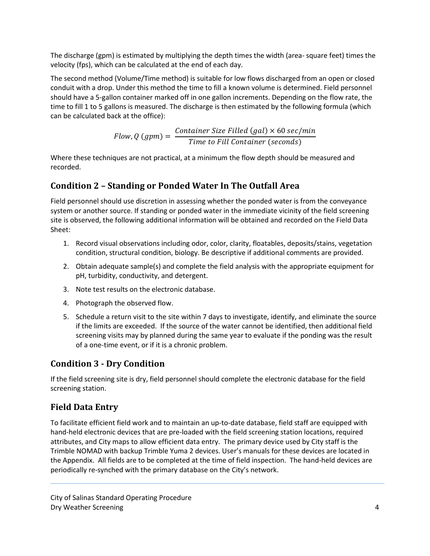The discharge (gpm) is estimated by multiplying the depth times the width (area- square feet) times the velocity (fps), which can be calculated at the end of each day.

The second method (Volume/Time method) is suitable for low flows discharged from an open or closed conduit with a drop. Under this method the time to fill a known volume is determined. Field personnel should have a 5-gallon container marked off in one gallon increments. Depending on the flow rate, the time to fill 1 to 5 gallons is measured. The discharge is then estimated by the following formula (which can be calculated back at the office):

Flow, Q  $(gpm) = \frac{Container\ Size\ Filled\ (gal)\times 60\ sec/}{Time\ to\ Fill\ Container\ (seconds)}$ 

Where these techniques are not practical, at a minimum the flow depth should be measured and recorded.

## **Condition 2 – Standing or Ponded Water In The Outfall Area**

Field personnel should use discretion in assessing whether the ponded water is from the conveyance system or another source. If standing or ponded water in the immediate vicinity of the field screening site is observed, the following additional information will be obtained and recorded on the Field Data Sheet:

- 1. Record visual observations including odor, color, clarity, floatables, deposits/stains, vegetation condition, structural condition, biology. Be descriptive if additional comments are provided.
- 2. Obtain adequate sample(s) and complete the field analysis with the appropriate equipment for pH, turbidity, conductivity, and detergent.
- 3. Note test results on the electronic database.
- 4. Photograph the observed flow.
- 5. Schedule a return visit to the site within 7 days to investigate, identify, and eliminate the source if the limits are exceeded. If the source of the water cannot be identified, then additional field screening visits may by planned during the same year to evaluate if the ponding was the result of a one-time event, or if it is a chronic problem.

## **Condition 3 - Dry Condition**

If the field screening site is dry, field personnel should complete the electronic database for the field screening station.

## **Field Data Entry**

To facilitate efficient field work and to maintain an up-to-date database, field staff are equipped with hand-held electronic devices that are pre-loaded with the field screening station locations, required attributes, and City maps to allow efficient data entry. The primary device used by City staff is the Trimble NOMAD with backup Trimble Yuma 2 devices. User's manuals for these devices are located in the Appendix. All fields are to be completed at the time of field inspection. The hand-held devices are periodically re-synched with the primary database on the City's network.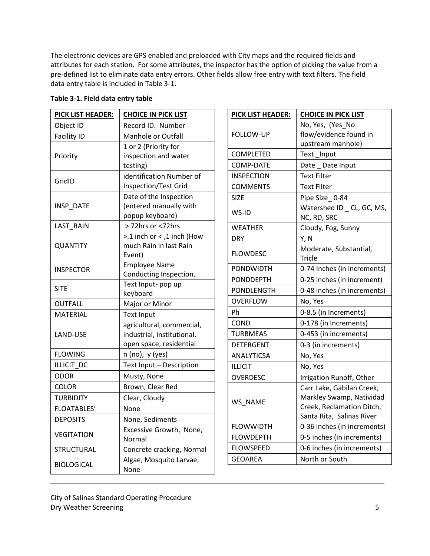The electronic devices are GPS enabled and preloaded with City maps and the required fields and attributes for each station. For some attributes, the inspector has the option of picking the value from a pre-defined list to eliminate data entry errors. Other fields allow free entry with text filters. The field data entry table is included in [Table 3-1.](#page-4-0)

| <b>PICK LIST HEADER:</b> | <b>CHOICE IN PICK LIST</b>                                                         |  |
|--------------------------|------------------------------------------------------------------------------------|--|
| Object ID                | Record ID. Number                                                                  |  |
| <b>Facility ID</b>       | <b>Manhole or Outfall</b>                                                          |  |
| Priority                 | 1 or 2 (Priority for<br>inspection and water<br>testing)                           |  |
| GridID                   | identification Number of<br>Inspection/Test Grid                                   |  |
| INSP DATE                | Date of the Inspection<br>(entered manually with<br>popup keyboard)                |  |
| <b>LAST RAIN</b>         | >72hrs or <72hrs                                                                   |  |
| <b>QUANTITY</b>          | $> 1$ inch or < $,1$ inch (How<br>much Rain in last Rain<br>Event)                 |  |
| <b>INSPECTOR</b>         | <b>Employee Name</b><br>Conducting Inspection.                                     |  |
| <b>SITE</b>              | Text Input- pop up<br>keyboard                                                     |  |
| <b>OUTFALL</b>           | Major or Minor                                                                     |  |
| <b>MATERIAL</b>          | <b>Text Input</b>                                                                  |  |
| <b>LAND-USE</b>          | agricultural, commercial,<br>industrial, institutional,<br>open space, residential |  |
| <b>FLOWING</b>           | n (no), y (yes)                                                                    |  |
| ILLICIT DC               | Text Input - Description                                                           |  |
| <b>ODOR</b>              | Musty, None                                                                        |  |
| COLOR                    | Brown, Clear Red                                                                   |  |
| <b>TURBIDITY</b>         | Clear, Cloudy                                                                      |  |
| <b>FLOATABLES'</b>       | None                                                                               |  |
| <b>DEPOSITS</b>          | None, Sediments                                                                    |  |
| <b>VEGITATION</b>        | Excessive Growth, None,<br>Normal                                                  |  |
| <b>STRUCTURAL</b>        | Concrete cracking, Normal                                                          |  |
| <b>BIOLOGICAL</b>        | Algae, Mosquito Larvae,<br>None                                                    |  |

<span id="page-4-0"></span>

|  |  |  |  |  | Table 3-1. Field data entry table |
|--|--|--|--|--|-----------------------------------|
|--|--|--|--|--|-----------------------------------|

| <b>PICK LIST HEADER:</b> | <b>CHOICE IN PICK LIST</b>                                                                                      |
|--------------------------|-----------------------------------------------------------------------------------------------------------------|
|                          | No, Yes, (Yes_No                                                                                                |
| FOLLOW-UP                | flow/evidence found in                                                                                          |
|                          | upstream manhole)                                                                                               |
| <b>COMPLETED</b>         | Text_Input                                                                                                      |
| <b>COMP-DATE</b>         | Date _ Date Input                                                                                               |
| <b>INSPECTION</b>        | <b>Text Filter</b>                                                                                              |
| <b>COMMENTS</b>          | <b>Text Filter</b>                                                                                              |
| <b>SIZE</b>              | Pipe Size 0-84                                                                                                  |
| WS-ID                    | Watershed ID _ CL, GC, MS,<br>NC, RD, SRC                                                                       |
| <b>WEATHER</b>           | Cloudy, Fog, Sunny                                                                                              |
| <b>DRY</b>               | Y, N                                                                                                            |
| <b>FLOWDESC</b>          | Moderate, Substantial,<br>Tricle                                                                                |
| PONDWIDTH                | 0-74 Inches (in increments)                                                                                     |
| PONDDEPTH                | 0-25 inches (in increment)                                                                                      |
| PONDLENGTH               | 0-48 inches (in increments)                                                                                     |
| <b>OVERFLOW</b>          | No, Yes                                                                                                         |
| Ph                       | 0-8.5 (in Increments)                                                                                           |
| COND                     | 0-178 (in Increments)                                                                                           |
| TURBMEAS                 | 0-453 (in increments)                                                                                           |
| <b>DETERGENT</b>         | 0-3 (in increments)                                                                                             |
| <b>ANALYTICSA</b>        | No, Yes                                                                                                         |
| ILLICIT                  | No, Yes                                                                                                         |
| <b>OVERDESC</b>          | Irrigation Runoff, Other                                                                                        |
| WS NAME                  | Carr Lake, Gabilan Creek,<br>Markley Swamp, Natividad<br>Creek, Reclamation Ditch,<br>Santa Rita, Salinas River |
| <b>FLOWWIDTH</b>         | 0-36 inches (in increments)                                                                                     |
| FLOWDEPTH                | 0-5 inches (in increments)                                                                                      |
| <b>FLOWSPEED</b>         | 0-6 inches (in increments)                                                                                      |
| <b>GEOAREA</b>           | North or South                                                                                                  |
|                          |                                                                                                                 |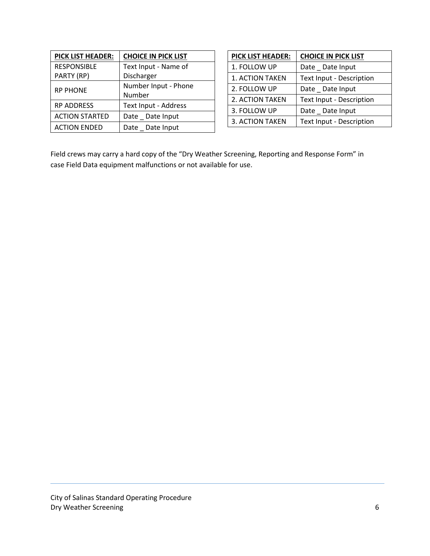| <b>PICK LIST HEADER:</b> | <b>CHOICE IN PICK LIST</b> |
|--------------------------|----------------------------|
| <b>RESPONSIBLE</b>       | Text Input - Name of       |
| PARTY (RP)               | Discharger                 |
| <b>RP PHONE</b>          | Number Input - Phone       |
|                          | Number                     |
| <b>RP ADDRESS</b>        | Text Input - Address       |
| <b>ACTION STARTED</b>    | Date Date Input            |
| <b>ACTION ENDED</b>      | Date Date Input            |

| <b>PICK LIST HEADER:</b> | <b>CHOICE IN PICK LIST</b>      |
|--------------------------|---------------------------------|
| 1. FOLLOW UP             | Date Date Input                 |
| 1. ACTION TAKEN          | Text Input - Description        |
| 2. FOLLOW UP             | Date Date Input                 |
| 2. ACTION TAKEN          | <b>Text Input - Description</b> |
| 3. FOLLOW UP             | Date Date Input                 |
| 3. ACTION TAKEN          | <b>Text Input - Description</b> |

Field crews may carry a hard copy of the "Dry Weather Screening, Reporting and Response Form" in case Field Data equipment malfunctions or not available for use.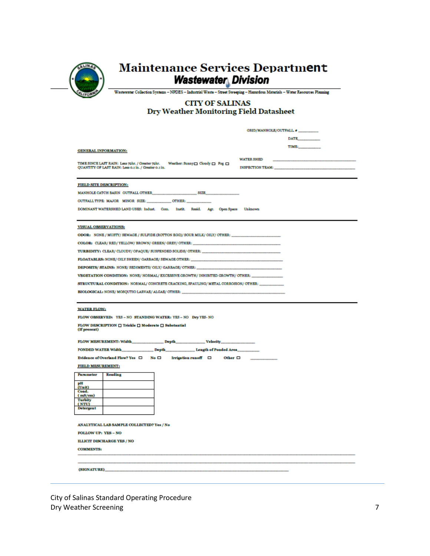

# Maintenance Services Department<br>
Wastewater Division<br>
Wastewater Services Planning<br>
Wastewater Collection Systems - NPDES - Industrial Waste - Street Sweeping - Hanardous Materials - Water Resources Planning

#### **CITY OF SALINAS** Dry Weather Monitoring Field Datasheet

|                                                                                                                                                                                                                                                                                                                                                                                                                                                                                                                                                                                   | GRID/MANHOLE/OUTFALL.                        |
|-----------------------------------------------------------------------------------------------------------------------------------------------------------------------------------------------------------------------------------------------------------------------------------------------------------------------------------------------------------------------------------------------------------------------------------------------------------------------------------------------------------------------------------------------------------------------------------|----------------------------------------------|
|                                                                                                                                                                                                                                                                                                                                                                                                                                                                                                                                                                                   | DATR_                                        |
|                                                                                                                                                                                                                                                                                                                                                                                                                                                                                                                                                                                   | TIME:                                        |
| <b>GENERAL INFORMATION:</b>                                                                                                                                                                                                                                                                                                                                                                                                                                                                                                                                                       |                                              |
| TIME SINCE LAST RAIN: Less 72hr. / Greater 72hr.<br>Weather: Sunny Cloudy C Fog C<br>QUANTITY OF LAST RAIN: Less o.1 in. / Greater o.1 in.                                                                                                                                                                                                                                                                                                                                                                                                                                        | <b>WATER SHED</b><br><b>INSPECTION TEAM:</b> |
|                                                                                                                                                                                                                                                                                                                                                                                                                                                                                                                                                                                   |                                              |
| <b>FIELD SITE DESCRIPTION:</b>                                                                                                                                                                                                                                                                                                                                                                                                                                                                                                                                                    |                                              |
| MANHOLE CATCH BASIN OUTFALL OTHER<br>SIZR                                                                                                                                                                                                                                                                                                                                                                                                                                                                                                                                         |                                              |
| OUTFALL TYPE: MAJOR MINOR SIZE:<br>OTHER:                                                                                                                                                                                                                                                                                                                                                                                                                                                                                                                                         |                                              |
| DOMINANT WATERSHED LAND USES: Indust. Com. Instit. Resid.                                                                                                                                                                                                                                                                                                                                                                                                                                                                                                                         | Agr. Open Space Unknown                      |
| <b>VISUAL OBSERVATIONS:</b>                                                                                                                                                                                                                                                                                                                                                                                                                                                                                                                                                       |                                              |
| ODOR: NONE / MUSTY/ SEWAGE / SULFIDE (ROTTON EGG)/ SOUR MILK/ OILY/ OTHER: _                                                                                                                                                                                                                                                                                                                                                                                                                                                                                                      |                                              |
| COLOR: CLEAR/RED/YELLOW/BROWN/GREEN/GREY/OTHER:                                                                                                                                                                                                                                                                                                                                                                                                                                                                                                                                   |                                              |
| TURBIDITY: CLEAR/ CLOUDY/ OPAQUE/ SUSPENDED SOLIDS/ OTHER: _                                                                                                                                                                                                                                                                                                                                                                                                                                                                                                                      |                                              |
| FLOATABLES: NONE/ OILY SHEEN/ GARBAGE/ SEWAGE OTHER:                                                                                                                                                                                                                                                                                                                                                                                                                                                                                                                              |                                              |
| DEPOSITS/ STAINS: NONE/ SEDIMENTS/ OILY/ GARBAGE/ OTHER:                                                                                                                                                                                                                                                                                                                                                                                                                                                                                                                          |                                              |
| VEGETATION CONDITION: NONE/ NORMAL/ EXCESSIVE GROWTH/ INHIBITED GROWTH/ OTHER:                                                                                                                                                                                                                                                                                                                                                                                                                                                                                                    |                                              |
| STRUCTURAL CONDITION: NORMAL/ CONCRETE CRACKING, SPAULING/ METAL CORROSION/ OTHER:                                                                                                                                                                                                                                                                                                                                                                                                                                                                                                |                                              |
| BIOLOGICAL: NONE/ MOSQUTIO LARVAE/ ALGAE/ OTHER: _                                                                                                                                                                                                                                                                                                                                                                                                                                                                                                                                |                                              |
| FLOW OBSERVED: YES - NO STANDING WATER: YES - NO Dry YES- NO<br>FLOW DESCRIPTION Trickle Moderate Bubstantial<br>(If present)<br>FLOW MESUREMENT: Width<br><b>PONDED WATER Width_</b><br>Depth<br>Length of Ponded Area___<br>Evidence of Overland Flow? Yes □ No □<br>Irrigation runoff<br><b>FIELD MESUREMENT:</b><br><b>Parameter</b><br><b>Reading</b><br>pH<br>(Unit)<br>Cond.<br>(mS/cm)<br><b>Turbity</b><br>(NTU)<br><b>Detergent</b><br>ANALYTICAL LAB SAMPLE COLLECTED? Yes / No<br><b>FOLLOW UP: YES - NO</b><br><b>ILLICIT DISCHARGE YES / NO</b><br><b>COMMENTS:</b> | Other $\Box$                                 |
|                                                                                                                                                                                                                                                                                                                                                                                                                                                                                                                                                                                   |                                              |
| (SIGNATURE)                                                                                                                                                                                                                                                                                                                                                                                                                                                                                                                                                                       |                                              |
|                                                                                                                                                                                                                                                                                                                                                                                                                                                                                                                                                                                   |                                              |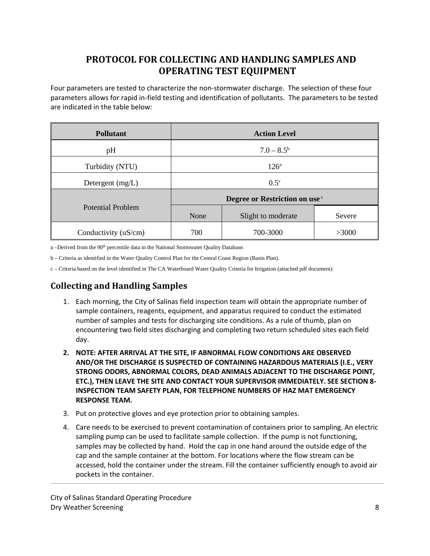# **PROTOCOL FOR COLLECTING AND HANDLING SAMPLES AND OPERATING TEST EQUIPMENT**

Four parameters are tested to characterize the non-stormwater discharge. The selection of these four parameters allows for rapid in-field testing and identification of pollutants. The parameters to be tested are indicated in the table below:

| <b>Pollutant</b>         | <b>Action Level</b>                       |                    |        |  |
|--------------------------|-------------------------------------------|--------------------|--------|--|
| pH                       | $7.0 - 8.5^{\rm b}$                       |                    |        |  |
| Turbidity (NTU)          | $126^{\circ}$                             |                    |        |  |
| Detergent $(mg/L)$       | $0.5^{\circ}$                             |                    |        |  |
|                          | Degree or Restriction on use <sup>c</sup> |                    |        |  |
| <b>Potential Problem</b> | None                                      | Slight to moderate | Severe |  |
| Conductivity (uS/cm)     | 700                                       | 700-3000           | >3000  |  |

a –Derived from the 90<sup>th</sup> percentile data in the National Stormwater Quality Database.

b – Criteria as identified in the Water Quality Control Plan for the Central Coast Region (Basin Plan).

c – Criteria based on the level identified in The CA Waterboard Water Quality Criteria for Irrigation (attached pdf document)

### **Collecting and Handling Samples**

- 1. Each morning, the City of Salinas field inspection team will obtain the appropriate number of sample containers, reagents, equipment, and apparatus required to conduct the estimated number of samples and tests for discharging site conditions. As a rule of thumb, plan on encountering two field sites discharging and completing two return scheduled sites each field day.
- **2. NOTE: AFTER ARRIVAL AT THE SITE, IF ABNORMAL FLOW CONDITIONS ARE OBSERVED AND/OR THE DISCHARGE IS SUSPECTED OF CONTAINING HAZARDOUS MATERIALS (I.E., VERY STRONG ODORS, ABNORMAL COLORS, DEAD ANIMALS ADJACENT TO THE DISCHARGE POINT, ETC.), THEN LEAVE THE SITE AND CONTACT YOUR SUPERVISOR IMMEDIATELY. SEE SECTION 8- INSPECTION TEAM SAFETY PLAN, FOR TELEPHONE NUMBERS OF HAZ MAT EMERGENCY RESPONSE TEAM.**
- 3. Put on protective gloves and eye protection prior to obtaining samples.
- 4. Care needs to be exercised to prevent contamination of containers prior to sampling. An electric sampling pump can be used to facilitate sample collection. If the pump is not functioning, samples may be collected by hand. Hold the cap in one hand around the outside edge of the cap and the sample container at the bottom. For locations where the flow stream can be accessed, hold the container under the stream. Fill the container sufficiently enough to avoid air pockets in the container.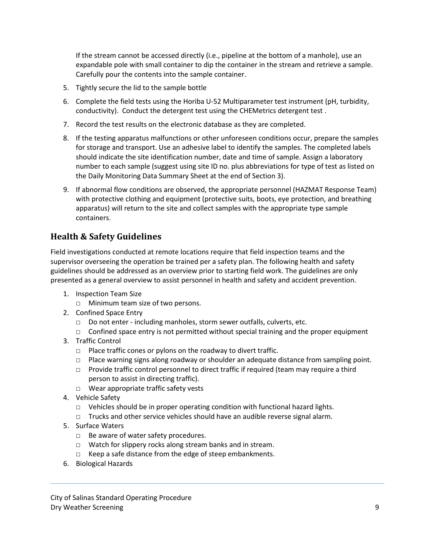If the stream cannot be accessed directly (i.e., pipeline at the bottom of a manhole), use an expandable pole with small container to dip the container in the stream and retrieve a sample. Carefully pour the contents into the sample container.

- 5. Tightly secure the lid to the sample bottle
- 6. Complete the field tests using the Horiba U-52 Multiparameter test instrument (pH, turbidity, conductivity). Conduct the detergent test using the CHEMetrics detergent test .
- 7. Record the test results on the electronic database as they are completed.
- 8. If the testing apparatus malfunctions or other unforeseen conditions occur, prepare the samples for storage and transport. Use an adhesive label to identify the samples. The completed labels should indicate the site identification number, date and time of sample. Assign a laboratory number to each sample (suggest using site ID no. plus abbreviations for type of test as listed on the Daily Monitoring Data Summary Sheet at the end of Section 3).
- 9. If abnormal flow conditions are observed, the appropriate personnel (HAZMAT Response Team) with protective clothing and equipment (protective suits, boots, eye protection, and breathing apparatus) will return to the site and collect samples with the appropriate type sample containers.

## **Health & Safety Guidelines**

Field investigations conducted at remote locations require that field inspection teams and the supervisor overseeing the operation be trained per a safety plan. The following health and safety guidelines should be addressed as an overview prior to starting field work. The guidelines are only presented as a general overview to assist personnel in health and safety and accident prevention.

- 1. Inspection Team Size
	- □ Minimum team size of two persons.
- 2. Confined Space Entry
	- □ Do not enter including manholes, storm sewer outfalls, culverts, etc.
	- □ Confined space entry is not permitted without special training and the proper equipment
- 3. Traffic Control
	- $\Box$  Place traffic cones or pylons on the roadway to divert traffic.
	- $\Box$  Place warning signs along roadway or shoulder an adequate distance from sampling point.
	- □ Provide traffic control personnel to direct traffic if required (team may require a third person to assist in directing traffic).
	- □ Wear appropriate traffic safety vests
- 4. Vehicle Safety
	- $\Box$  Vehicles should be in proper operating condition with functional hazard lights.
	- □ Trucks and other service vehicles should have an audible reverse signal alarm.
- 5. Surface Waters
	- □ Be aware of water safety procedures.
	- □ Watch for slippery rocks along stream banks and in stream.
	- □ Keep a safe distance from the edge of steep embankments.
- 6. Biological Hazards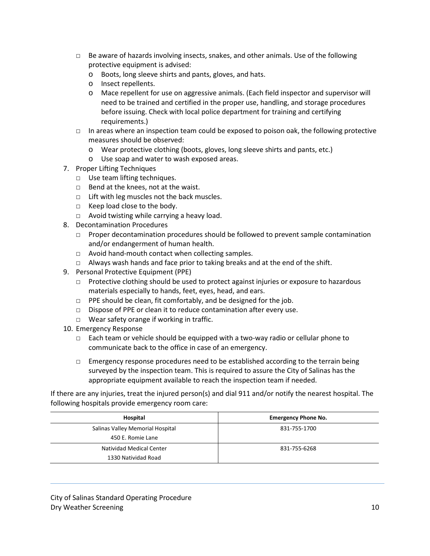- $\Box$  Be aware of hazards involving insects, snakes, and other animals. Use of the following protective equipment is advised:
	- o Boots, long sleeve shirts and pants, gloves, and hats.
	- o Insect repellents.
	- o Mace repellent for use on aggressive animals. (Each field inspector and supervisor will need to be trained and certified in the proper use, handling, and storage procedures before issuing. Check with local police department for training and certifying requirements.)
- $\Box$  In areas where an inspection team could be exposed to poison oak, the following protective measures should be observed:
	- o Wear protective clothing (boots, gloves, long sleeve shirts and pants, etc.)
	- o Use soap and water to wash exposed areas.
- 7. Proper Lifting Techniques
	- □ Use team lifting techniques.
	- □ Bend at the knees, not at the waist.
	- □ Lift with leg muscles not the back muscles.
	- □ Keep load close to the body.
	- □ Avoid twisting while carrying a heavy load.
- 8. Decontamination Procedures
	- □ Proper decontamination procedures should be followed to prevent sample contamination and/or endangerment of human health.
	- $\Box$  Avoid hand-mouth contact when collecting samples.
	- $\Box$  Always wash hands and face prior to taking breaks and at the end of the shift.
- 9. Personal Protective Equipment (PPE)
	- $\Box$  Protective clothing should be used to protect against injuries or exposure to hazardous materials especially to hands, feet, eyes, head, and ears.
	- □ PPE should be clean, fit comfortably, and be designed for the job.
	- □ Dispose of PPE or clean it to reduce contamination after every use.
	- □ Wear safety orange if working in traffic.
- 10. Emergency Response
	- $\Box$  Each team or vehicle should be equipped with a two-way radio or cellular phone to communicate back to the office in case of an emergency.
	- $\square$  Emergency response procedures need to be established according to the terrain being surveyed by the inspection team. This is required to assure the City of Salinas has the appropriate equipment available to reach the inspection team if needed.

If there are any injuries, treat the injured person(s) and dial 911 and/or notify the nearest hospital. The following hospitals provide emergency room care:

| Hospital                                              | <b>Emergency Phone No.</b> |
|-------------------------------------------------------|----------------------------|
| Salinas Valley Memorial Hospital<br>450 E. Romie Lane | 831-755-1700               |
| Natividad Medical Center<br>1330 Natividad Road       | 831-755-6268               |

City of Salinas Standard Operating Procedure **Dry Weather Screening 10** 2008 12:00 12:00 12:00 12:00 12:00 12:00 12:00 12:00 12:00 12:00 12:00 12:00 12:00 12:00 12:00 12:00 12:00 12:00 12:00 12:00 12:00 12:00 12:00 12:00 12:00 12:00 12:00 12:00 12:00 12:00 12:00 12:0